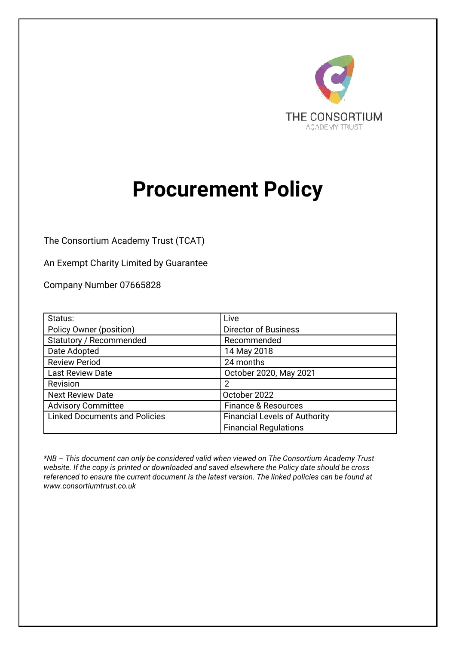

# **Procurement Policy**

The Consortium Academy Trust (TCAT)

An Exempt Charity Limited by Guarantee

Company Number 07665828

| Status:                              | Live                                 |  |
|--------------------------------------|--------------------------------------|--|
| Policy Owner (position)              | <b>Director of Business</b>          |  |
| Statutory / Recommended              | Recommended                          |  |
| Date Adopted                         | 14 May 2018                          |  |
| <b>Review Period</b>                 | 24 months                            |  |
| Last Review Date                     | October 2020, May 2021               |  |
| Revision                             | 2                                    |  |
| <b>Next Review Date</b>              | October 2022                         |  |
| <b>Advisory Committee</b>            | <b>Finance &amp; Resources</b>       |  |
| <b>Linked Documents and Policies</b> | <b>Financial Levels of Authority</b> |  |
|                                      | <b>Financial Regulations</b>         |  |

*\*NB – This document can only be considered valid when viewed on The Consortium Academy Trust website. If the copy is printed or downloaded and saved elsewhere the Policy date should be cross referenced to ensure the current document is the latest version. The linked policies can be found at www.consortiumtrust.co.uk*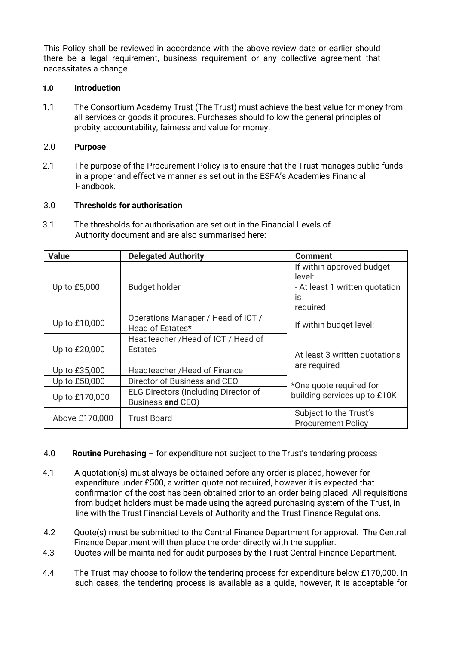This Policy shall be reviewed in accordance with the above review date or earlier should there be a legal requirement, business requirement or any collective agreement that necessitates a change.

### **1.0 Introduction**

1.1 The Consortium Academy Trust (The Trust) must achieve the best value for money from all services or goods it procures. Purchases should follow the general principles of probity, accountability, fairness and value for money.

### 2.0 **Purpose**

2.1 The purpose of the Procurement Policy is to ensure that the Trust manages public funds in a proper and effective manner as set out in the ESFA's Academies Financial Handbook.

#### 3.0 **Thresholds for authorisation**

3.1 The thresholds for authorisation are set out in the Financial Levels of Authority document and are also summarised here:

| <b>Value</b>   | <b>Delegated Authority</b>                                       | <b>Comment</b>                                                                          |
|----------------|------------------------------------------------------------------|-----------------------------------------------------------------------------------------|
| Up to £5,000   | <b>Budget holder</b>                                             | If within approved budget<br>level:<br>- At least 1 written quotation<br>İS<br>required |
| Up to £10,000  | Operations Manager / Head of ICT /<br>Head of Estates*           | If within budget level:                                                                 |
| Up to £20,000  | Headteacher / Head of ICT / Head of<br>Estates                   | At least 3 written quotations                                                           |
| Up to £35,000  | Headteacher / Head of Finance                                    | are required                                                                            |
| Up to £50,000  | Director of Business and CEO                                     | *One quote required for                                                                 |
| Up to £170,000 | <b>ELG Directors (Including Director of</b><br>Business and CEO) | building services up to £10K                                                            |
| Above £170,000 | Trust Board                                                      | Subject to the Trust's<br><b>Procurement Policy</b>                                     |

# 4.0 **Routine Purchasing** – for expenditure not subject to the Trust's tendering process

- 4.1 A quotation(s) must always be obtained before any order is placed, however for expenditure under £500, a written quote not required, however it is expected that confirmation of the cost has been obtained prior to an order being placed. All requisitions from budget holders must be made using the agreed purchasing system of the Trust, in line with the Trust Financial Levels of Authority and the Trust Finance Regulations.
- 4.2 Quote(s) must be submitted to the Central Finance Department for approval. The Central Finance Department will then place the order directly with the supplier.
- 4.3 Quotes will be maintained for audit purposes by the Trust Central Finance Department.
- 4.4 The Trust may choose to follow the tendering process for expenditure below £170,000. In such cases, the tendering process is available as a guide, however, it is acceptable for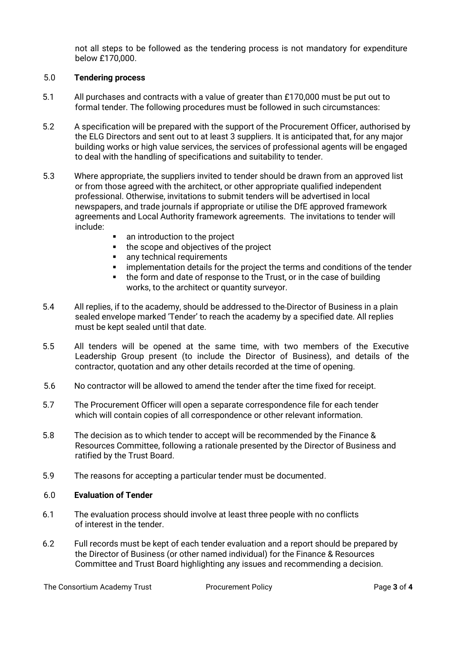not all steps to be followed as the tendering process is not mandatory for expenditure below £170,000.

# 5.0 **Tendering process**

- 5.1 All purchases and contracts with a value of greater than £170,000 must be put out to formal tender. The following procedures must be followed in such circumstances:
- 5.2 A specification will be prepared with the support of the Procurement Officer, authorised by the ELG Directors and sent out to at least 3 suppliers. It is anticipated that, for any major building works or high value services, the services of professional agents will be engaged to deal with the handling of specifications and suitability to tender.
- 5.3 Where appropriate, the suppliers invited to tender should be drawn from an approved list or from those agreed with the architect, or other appropriate qualified independent professional. Otherwise, invitations to submit tenders will be advertised in local newspapers, and trade journals if appropriate or utilise the DfE approved framework agreements and Local Authority framework agreements. The invitations to tender will include:
	- an introduction to the project
	- the scope and objectives of the project
	- any technical requirements
	- implementation details for the project the terms and conditions of the tender
	- the form and date of response to the Trust, or in the case of building works, to the architect or quantity surveyor.
- 5.4 All replies, if to the academy, should be addressed to the Director of Business in a plain sealed envelope marked 'Tender' to reach the academy by a specified date. All replies must be kept sealed until that date.
- 5.5 All tenders will be opened at the same time, with two members of the Executive Leadership Group present (to include the Director of Business), and details of the contractor, quotation and any other details recorded at the time of opening.
- 5.6 No contractor will be allowed to amend the tender after the time fixed for receipt.
- 5.7 The Procurement Officer will open a separate correspondence file for each tender which will contain copies of all correspondence or other relevant information.
- 5.8 The decision as to which tender to accept will be recommended by the Finance & Resources Committee, following a rationale presented by the Director of Business and ratified by the Trust Board.
- 5.9 The reasons for accepting a particular tender must be documented.

# 6.0 **Evaluation of Tender**

- 6.1 The evaluation process should involve at least three people with no conflicts of interest in the tender.
- 6.2 Full records must be kept of each tender evaluation and a report should be prepared by the Director of Business (or other named individual) for the Finance & Resources Committee and Trust Board highlighting any issues and recommending a decision.